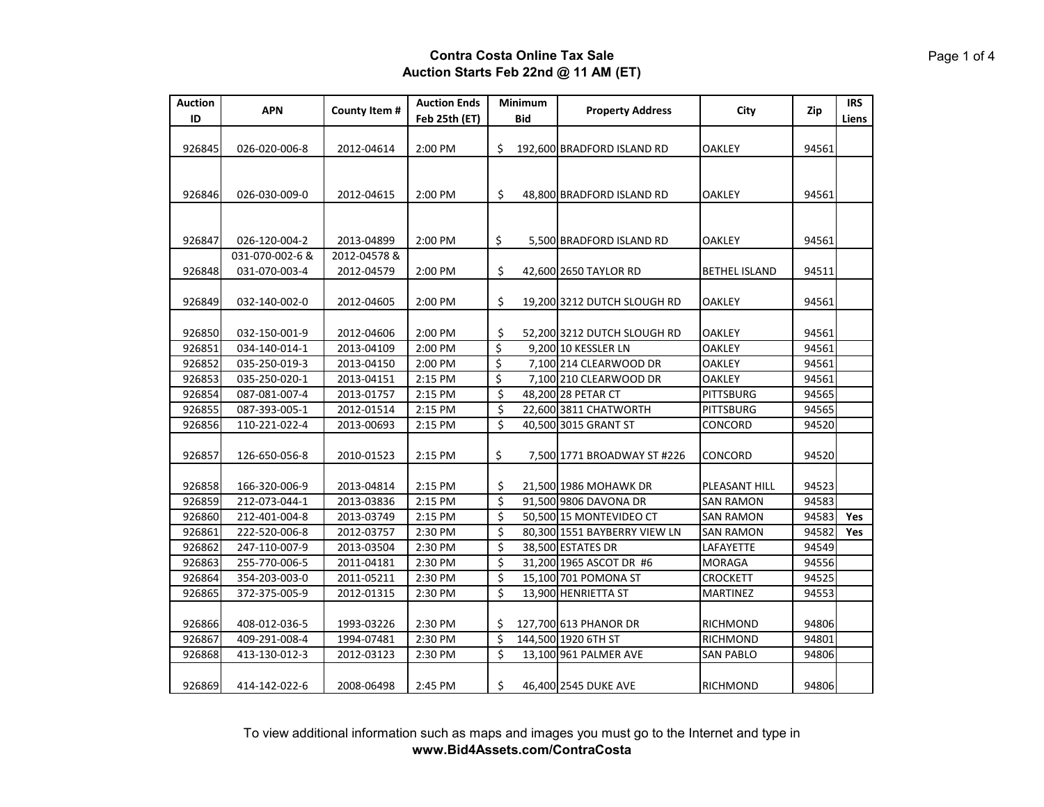| <b>Auction</b> | <b>APN</b>                       | County Item #              | <b>Auction Ends</b> |         | Minimum    | <b>Property Address</b>      | City                 | Zip   | <b>IRS</b> |
|----------------|----------------------------------|----------------------------|---------------------|---------|------------|------------------------------|----------------------|-------|------------|
| ID             |                                  |                            | Feb 25th (ET)       |         | <b>Bid</b> |                              |                      |       | Liens      |
|                |                                  |                            |                     |         |            |                              |                      |       |            |
| 926845         | 026-020-006-8                    | 2012-04614                 | 2:00 PM             | \$      |            | 192,600 BRADFORD ISLAND RD   | OAKLEY               | 94561 |            |
|                |                                  |                            |                     |         |            |                              |                      |       |            |
|                |                                  |                            |                     |         |            |                              |                      |       |            |
| 926846         | 026-030-009-0                    | 2012-04615                 | 2:00 PM             | \$      |            | 48,800 BRADFORD ISLAND RD    | <b>OAKLEY</b>        | 94561 |            |
|                |                                  |                            |                     |         |            |                              |                      |       |            |
|                |                                  |                            |                     |         |            |                              |                      |       |            |
| 926847         | 026-120-004-2<br>031-070-002-6 & | 2013-04899<br>2012-04578 & | 2:00 PM             | \$      |            | 5,500 BRADFORD ISLAND RD     | OAKLEY               | 94561 |            |
|                |                                  |                            |                     |         |            |                              |                      |       |            |
| 926848         | 031-070-003-4                    | 2012-04579                 | 2:00 PM             | \$      |            | 42,600 2650 TAYLOR RD        | <b>BETHEL ISLAND</b> | 94511 |            |
| 926849         | 032-140-002-0                    | 2012-04605                 | 2:00 PM             | \$      |            | 19,200 3212 DUTCH SLOUGH RD  | OAKLEY               | 94561 |            |
|                |                                  |                            |                     |         |            |                              |                      |       |            |
| 926850         | 032-150-001-9                    | 2012-04606                 | 2:00 PM             | \$      |            | 52,200 3212 DUTCH SLOUGH RD  | OAKLEY               | 94561 |            |
| 926851         | 034-140-014-1                    | 2013-04109                 | 2:00 PM             | \$      |            | 9,200 10 KESSLER LN          | <b>OAKLEY</b>        | 94561 |            |
| 926852         | 035-250-019-3                    | 2013-04150                 | 2:00 PM             | \$      |            | 7,100 214 CLEARWOOD DR       | <b>OAKLEY</b>        | 94561 |            |
| 926853         | 035-250-020-1                    | 2013-04151                 | 2:15 PM             | \$      |            | 7,100 210 CLEARWOOD DR       | <b>OAKLEY</b>        | 94561 |            |
| 926854         | 087-081-007-4                    | 2013-01757                 | 2:15 PM             | \$      |            | 48,200 28 PETAR CT           | <b>PITTSBURG</b>     | 94565 |            |
| 926855         | 087-393-005-1                    | 2012-01514                 | 2:15 PM             | \$      |            | 22,600 3811 CHATWORTH        | PITTSBURG            | 94565 |            |
| 926856         | 110-221-022-4                    | 2013-00693                 | 2:15 PM             | $\zeta$ |            | 40,500 3015 GRANT ST         | CONCORD              | 94520 |            |
|                |                                  |                            |                     |         |            |                              |                      |       |            |
| 926857         | 126-650-056-8                    | 2010-01523                 | 2:15 PM             | \$      |            | 7,500 1771 BROADWAY ST #226  | CONCORD              | 94520 |            |
|                |                                  |                            |                     |         |            |                              |                      |       |            |
| 926858         | 166-320-006-9                    | 2013-04814                 | 2:15 PM             | \$      |            | 21,500 1986 MOHAWK DR        | PLEASANT HILL        | 94523 |            |
| 926859         | 212-073-044-1                    | 2013-03836                 | 2:15 PM             | $\zeta$ |            | 91,500 9806 DAVONA DR        | SAN RAMON            | 94583 |            |
| 926860         | 212-401-004-8                    | 2013-03749                 | 2:15 PM             | \$      |            | 50,500 15 MONTEVIDEO CT      | <b>SAN RAMON</b>     | 94583 | Yes        |
| 926861         | 222-520-006-8                    | 2012-03757                 | 2:30 PM             | \$      |            | 80,300 1551 BAYBERRY VIEW LN | <b>SAN RAMON</b>     | 94582 | Yes        |
| 926862         | 247-110-007-9                    | 2013-03504                 | 2:30 PM             | \$      |            | 38,500 ESTATES DR            | LAFAYETTE            | 94549 |            |
| 926863         | 255-770-006-5                    | 2011-04181                 | 2:30 PM             | \$      |            | 31,200 1965 ASCOT DR #6      | <b>MORAGA</b>        | 94556 |            |
| 926864         | 354-203-003-0                    | 2011-05211                 | 2:30 PM             | \$      |            | 15,100 701 POMONA ST         | <b>CROCKETT</b>      | 94525 |            |
| 926865         | 372-375-005-9                    | 2012-01315                 | 2:30 PM             | \$      |            | 13,900 HENRIETTA ST          | MARTINEZ             | 94553 |            |
|                |                                  |                            |                     |         |            |                              |                      |       |            |
| 926866         | 408-012-036-5                    | 1993-03226                 | 2:30 PM             | \$      |            | 127,700 613 PHANOR DR        | RICHMOND             | 94806 |            |
| 926867         | 409-291-008-4                    | 1994-07481                 | 2:30 PM             | \$      |            | 144,500 1920 6TH ST          | RICHMOND             | 94801 |            |
| 926868         | 413-130-012-3                    | 2012-03123                 | 2:30 PM             | \$      |            | 13,100 961 PALMER AVE        | <b>SAN PABLO</b>     | 94806 |            |
| 926869         | 414-142-022-6                    | 2008-06498                 | 2:45 PM             | \$      |            | 46,400 2545 DUKE AVE         | <b>RICHMOND</b>      | 94806 |            |
|                |                                  |                            |                     |         |            |                              |                      |       |            |

To view additional information such as maps and images you must go to the Internet and type in **www.Bid4Assets.com/ContraCosta**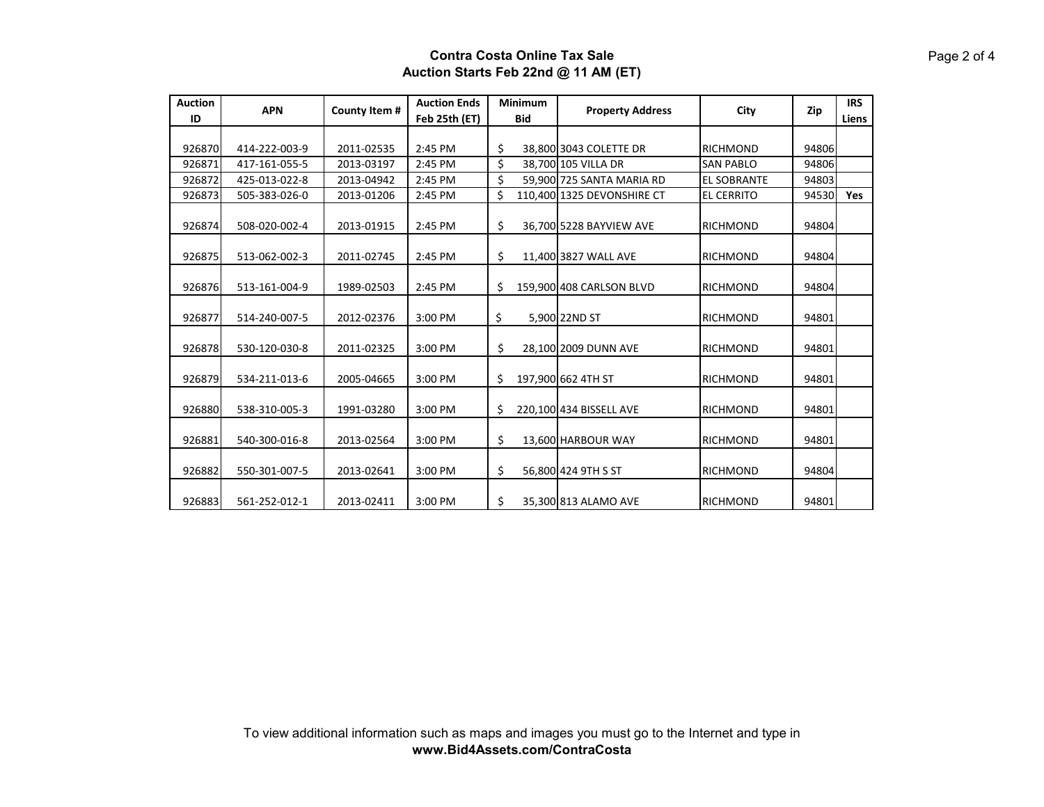| <b>Auction</b> | <b>APN</b>    | County Item # | <b>Auction Ends</b> | <b>Minimum</b> |            | <b>Property Address</b>    | City               | Zip   | <b>IRS</b> |
|----------------|---------------|---------------|---------------------|----------------|------------|----------------------------|--------------------|-------|------------|
| ID             |               |               | Feb 25th (ET)       |                | <b>Bid</b> |                            |                    |       | Liens      |
|                |               |               |                     |                |            |                            |                    |       |            |
| 926870         | 414-222-003-9 | 2011-02535    | 2:45 PM             | \$             |            | 38,800 3043 COLETTE DR     | <b>RICHMOND</b>    | 94806 |            |
| 926871         | 417-161-055-5 | 2013-03197    | 2:45 PM             | \$             |            | 38,700 105 VILLA DR        | <b>SAN PABLO</b>   | 94806 |            |
| 926872         | 425-013-022-8 | 2013-04942    | 2:45 PM             | \$             |            | 59,900 725 SANTA MARIA RD  | <b>EL SOBRANTE</b> | 94803 |            |
| 926873         | 505-383-026-0 | 2013-01206    | 2:45 PM             | \$             |            | 110,400 1325 DEVONSHIRE CT | <b>EL CERRITO</b>  | 94530 | Yes        |
| 926874         | 508-020-002-4 | 2013-01915    | 2:45 PM             | \$             |            | 36,700 5228 BAYVIEW AVE    | RICHMOND           | 94804 |            |
| 926875         | 513-062-002-3 | 2011-02745    | 2:45 PM             | \$             |            | 11,400 3827 WALL AVE       | RICHMOND           | 94804 |            |
| 926876         | 513-161-004-9 | 1989-02503    | 2:45 PM             | \$             |            | 159,900 408 CARLSON BLVD   | <b>RICHMOND</b>    | 94804 |            |
| 926877         | 514-240-007-5 | 2012-02376    | 3:00 PM             | \$             |            | 5,900 22ND ST              | RICHMOND           | 94801 |            |
| 926878         | 530-120-030-8 | 2011-02325    | 3:00 PM             | \$             |            | 28,100 2009 DUNN AVE       | <b>RICHMOND</b>    | 94801 |            |
| 926879         | 534-211-013-6 | 2005-04665    | 3:00 PM             | \$             |            | 197,900 662 4TH ST         | <b>RICHMOND</b>    | 94801 |            |
| 926880         | 538-310-005-3 | 1991-03280    | 3:00 PM             | \$             |            | 220,100 434 BISSELL AVE    | RICHMOND           | 94801 |            |
| 926881         | 540-300-016-8 | 2013-02564    | 3:00 PM             | \$             |            | 13,600 HARBOUR WAY         | RICHMOND           | 94801 |            |
| 926882         | 550-301-007-5 | 2013-02641    | 3:00 PM             | \$             |            | 56,800 424 9TH S ST        | <b>RICHMOND</b>    | 94804 |            |
| 926883         | 561-252-012-1 | 2013-02411    | 3:00 PM             | \$             |            | 35,300 813 ALAMO AVE       | <b>RICHMOND</b>    | 94801 |            |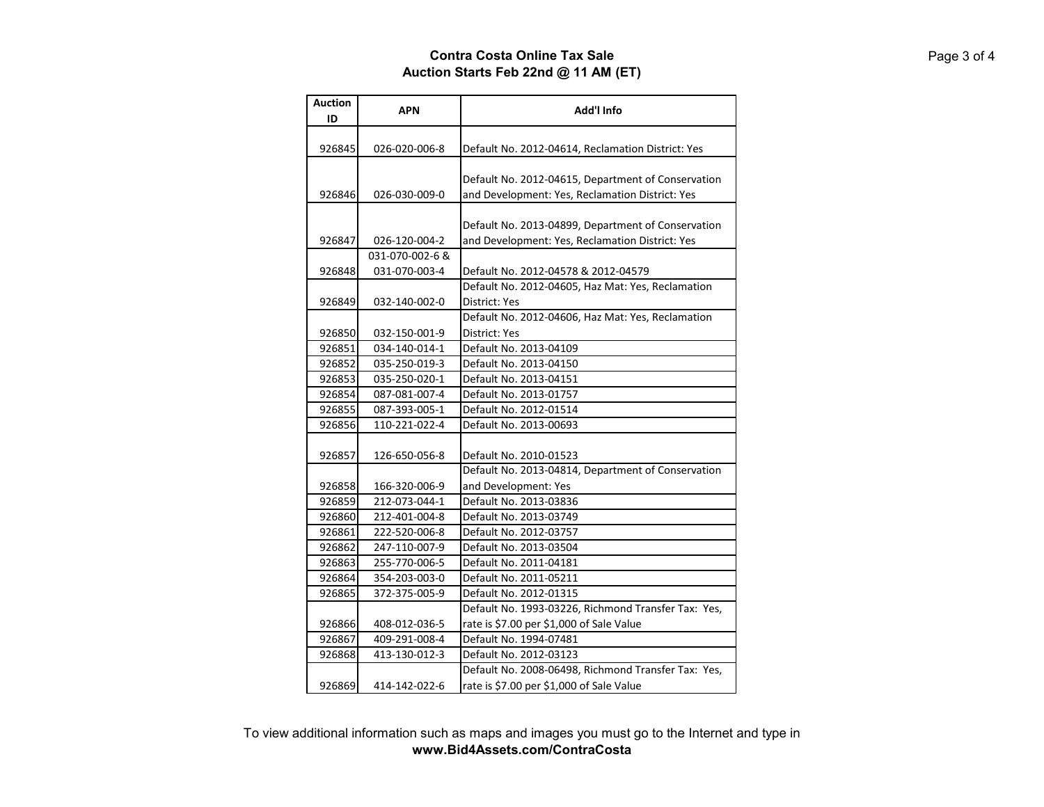| <b>Auction</b><br>ID | <b>APN</b>                       | Add'l Info                                                                                            |
|----------------------|----------------------------------|-------------------------------------------------------------------------------------------------------|
| 926845               | 026-020-006-8                    | Default No. 2012-04614, Reclamation District: Yes                                                     |
| 926846               | 026-030-009-0                    | Default No. 2012-04615, Department of Conservation<br>and Development: Yes, Reclamation District: Yes |
| 926847               | 026-120-004-2                    | Default No. 2013-04899, Department of Conservation<br>and Development: Yes, Reclamation District: Yes |
| 926848               | 031-070-002-6 &<br>031-070-003-4 | Default No. 2012-04578 & 2012-04579                                                                   |
| 926849               | 032-140-002-0                    | Default No. 2012-04605, Haz Mat: Yes, Reclamation<br>District: Yes                                    |
| 926850               | 032-150-001-9                    | Default No. 2012-04606, Haz Mat: Yes, Reclamation<br>District: Yes                                    |
| 926851               | 034-140-014-1                    | Default No. 2013-04109                                                                                |
| 926852               | 035-250-019-3                    | Default No. 2013-04150                                                                                |
| 926853               | 035-250-020-1                    | Default No. 2013-04151                                                                                |
| 926854               | 087-081-007-4                    | Default No. 2013-01757                                                                                |
| 926855               | 087-393-005-1                    | Default No. 2012-01514                                                                                |
| 926856               | 110-221-022-4                    | Default No. 2013-00693                                                                                |
| 926857               | 126-650-056-8                    | Default No. 2010-01523                                                                                |
|                      |                                  | Default No. 2013-04814, Department of Conservation                                                    |
| 926858               | 166-320-006-9                    | and Development: Yes                                                                                  |
| 926859               | 212-073-044-1                    | Default No. 2013-03836                                                                                |
| 926860               | 212-401-004-8                    | Default No. 2013-03749                                                                                |
| 926861               | 222-520-006-8                    | Default No. 2012-03757                                                                                |
| 926862               | 247-110-007-9                    | Default No. 2013-03504                                                                                |
| 926863               | 255-770-006-5                    | Default No. 2011-04181                                                                                |
| 926864               | 354-203-003-0                    | Default No. 2011-05211                                                                                |
| 926865               | 372-375-005-9                    | Default No. 2012-01315                                                                                |
|                      |                                  | Default No. 1993-03226, Richmond Transfer Tax: Yes,                                                   |
| 926866               | 408-012-036-5                    | rate is \$7.00 per \$1,000 of Sale Value                                                              |
| 926867               | 409-291-008-4                    | Default No. 1994-07481                                                                                |
| 926868               | 413-130-012-3                    | Default No. 2012-03123                                                                                |
| 926869               | 414-142-022-6                    | Default No. 2008-06498, Richmond Transfer Tax: Yes,<br>rate is \$7.00 per \$1,000 of Sale Value       |

To view additional information such as maps and images you must go to the Internet and type in **www.Bid4Assets.com/ContraCosta**